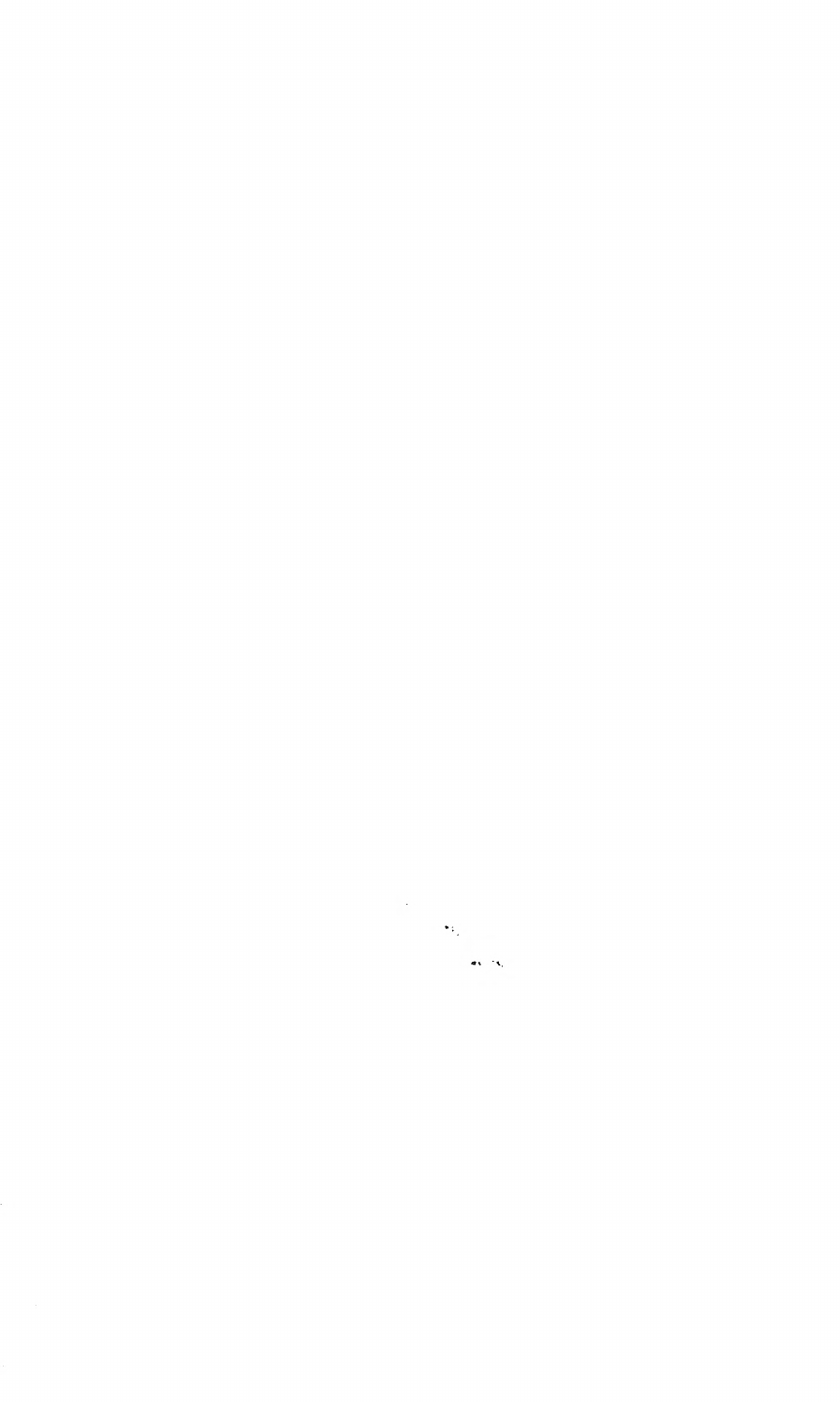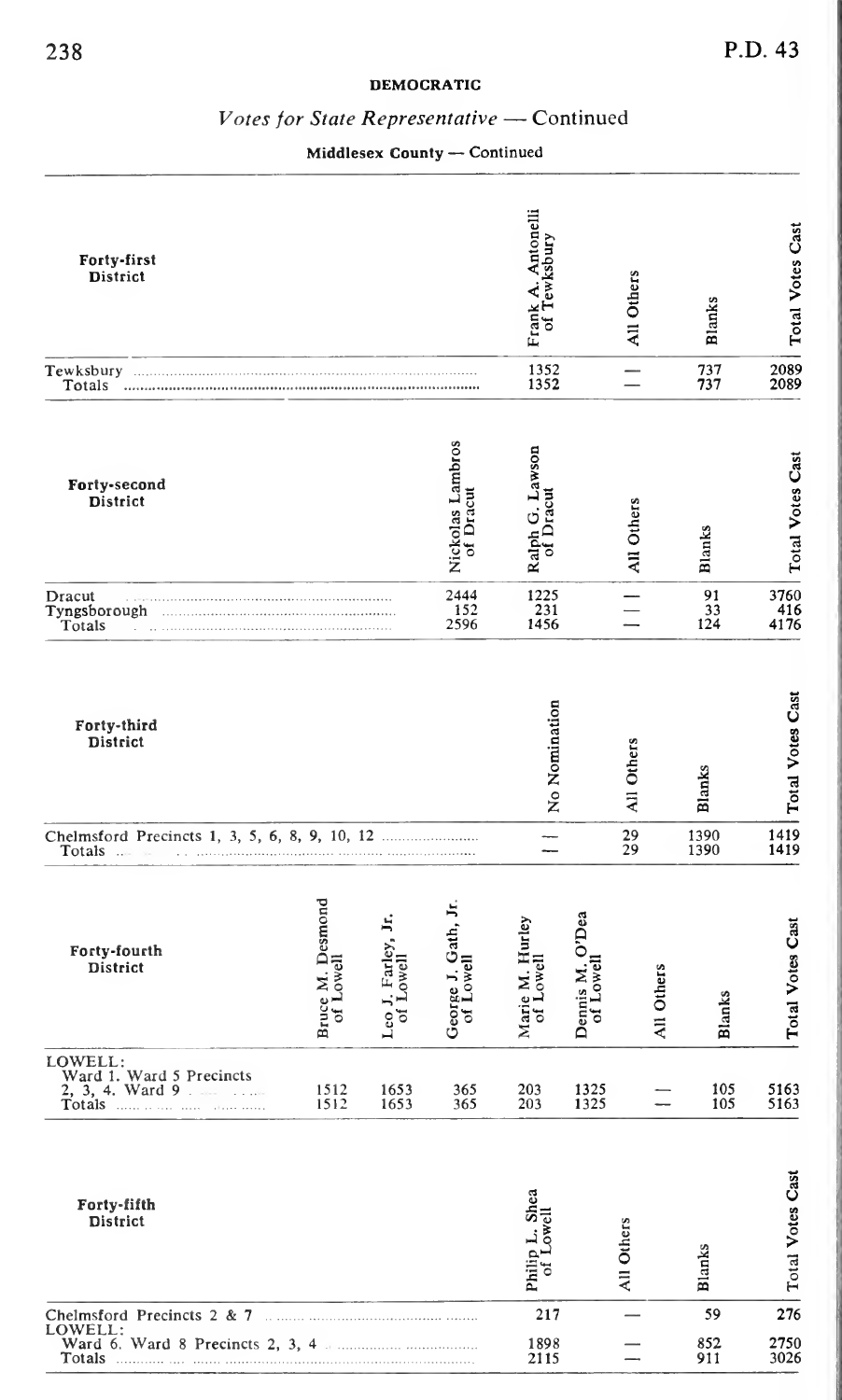# Votes for State Representative — Continued

| Forty-first<br>District                                                 |                               |                                 |                                  | Frank A. Antonelli<br>of Tewksbury                            |                              | All Others   |            | Blanks                 | Total Votes Cast                             |
|-------------------------------------------------------------------------|-------------------------------|---------------------------------|----------------------------------|---------------------------------------------------------------|------------------------------|--------------|------------|------------------------|----------------------------------------------|
| Tewksbury<br>Totals                                                     |                               |                                 |                                  | 1352<br>1352                                                  |                              |              |            | $737$<br>$737$         | 2089<br>2089                                 |
| Forty-second<br>District                                                |                               |                                 | Nickolas Lambros<br>of Dracut    | Ralph G. Lawson<br>of Dracut                                  |                              | All Others   |            | Blanks                 | 4176 Total Votes Cast<br>4176                |
| Dracut<br>Tyngsborough<br>Totals<br>à.                                  |                               |                                 | 2444<br>152<br>2596              | $\begin{array}{r} \overline{1225} \\ 231 \\ 1456 \end{array}$ |                              |              |            | $\frac{91}{33}$<br>124 |                                              |
| Forty-third<br>District                                                 |                               |                                 |                                  | No Nomination                                                 |                              | All Others   |            | Blanks                 | $\frac{1}{40}$ $\frac{1}{40}$ $\frac{1}{40}$ |
| Totals<br>$\mathbf{r}$                                                  |                               |                                 |                                  |                                                               |                              | $^{29}_{29}$ |            | 1390<br>1390           |                                              |
| Forty-fourth<br>District                                                | Bruce M. Desmond<br>of Lowell | Leo J. Farley, Jr.<br>of Lowell | George J. Gath, Jr.<br>of Lowell | Marie M. Hurley<br>of Lowell                                  | Dennis M. O'Dea<br>of Lowell |              | All Others | Blanks                 | Total Votes Cast                             |
| LOWELL:<br>Ward 1. Ward 5 Precincts<br>2, 3, 4. Ward 9<br>$\sim$ $\sim$ | 1512<br>1512                  | 1653<br>1653                    | 365<br>365                       | $\frac{203}{203}$                                             | 1325<br>1325                 |              |            | $\frac{105}{105}$      | 5163<br>5163                                 |
| Forty-fifth<br>District                                                 |                               |                                 |                                  | Philip L. Shea<br>of Lowell                                   |                              | All Others   |            | <b>Blanks</b>          | 2 Total Votes Cast                           |
| Chelmsford Precincts 2 & 7<br>LOWELL:                                   |                               |                                 |                                  | 217                                                           |                              |              |            | 59                     |                                              |
| Ward 6. Ward 8 Precincts 2, 3, 4<br>Totals<br>.                         |                               |                                 |                                  | 1898<br>2115                                                  |                              |              |            | 852<br>911             | 2750<br>3026                                 |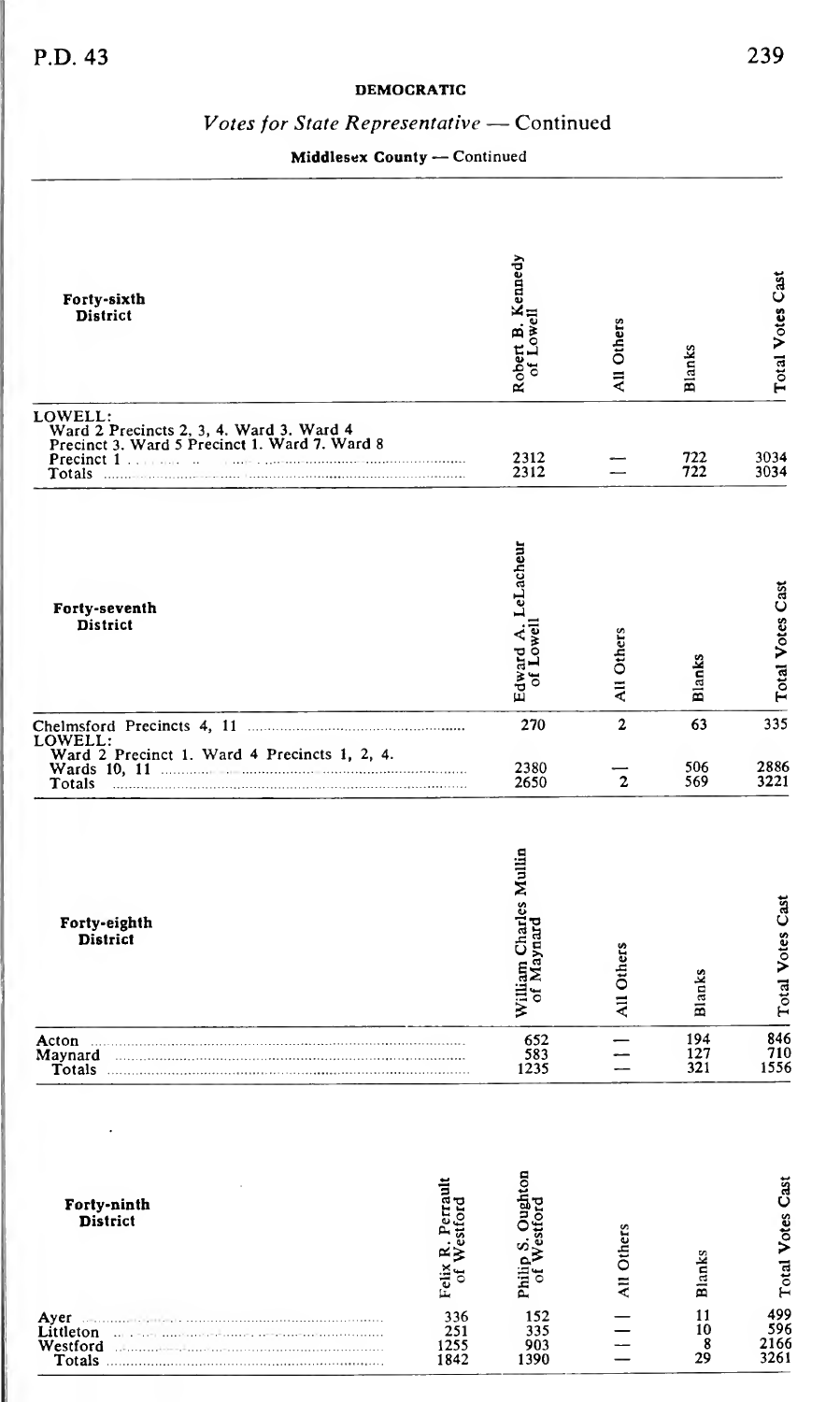# Votes for State Representative — Continued

| Forty-sixth<br>District                                                                                                                                              | Robert B. Kennedy<br>of Lowell                                | All Others     | <b>Blanks</b>                        | Total Votes Cast                                      |
|----------------------------------------------------------------------------------------------------------------------------------------------------------------------|---------------------------------------------------------------|----------------|--------------------------------------|-------------------------------------------------------|
| LOWELL:<br>Vard 2 Precincts 2, 3, 4. Ward 3. Ward 4<br>Precinct 3. Ward 5 Precinct 1. Ward 7. Ward 8<br>Totals                                                       | 2312<br>2312                                                  |                | 722<br>722                           | 3034<br>3034                                          |
| Forty-seventh<br>District                                                                                                                                            | Edward A. LeLacheur<br>of Lowell                              | All Others     | Blanks                               | Total Votes Cast                                      |
|                                                                                                                                                                      | 270                                                           | $\overline{2}$ | 63                                   | 335                                                   |
| LOWELL:<br>Ward 2 Precinct 1. Ward 4 Precincts 1, 2, 4.<br>Wards 10, 11<br>Totals                                                                                    | 2380<br>2650                                                  | $\overline{c}$ | 506<br>569                           | 2886<br>3221                                          |
| Forty-eighth<br>District                                                                                                                                             | William Charles Mullin<br>of Maynard                          | All Others     | Blanks                               | Total Votes Cast                                      |
| Acton<br>Maynard<br>Totals                                                                                                                                           | $\begin{array}{r} 652 \\ 583 \\ 1235 \end{array}$             |                | 194<br>127<br>321                    | $\frac{846}{710}$<br>1556                             |
| Felix R. Perrault<br>of Westford<br>Forty-ninth<br>District<br>$\frac{336}{251}$<br>1255<br>Ayer<br>Littleton<br>1842<br>Totals <b>Executive Constitution Totals</b> | Philip S. Oughton<br>of Westford<br>152<br>335<br>903<br>1390 | All Others     | Blanks<br>11<br>10<br>$\frac{8}{29}$ | Total Votes Cast<br>$\frac{499}{596}$<br>2166<br>3261 |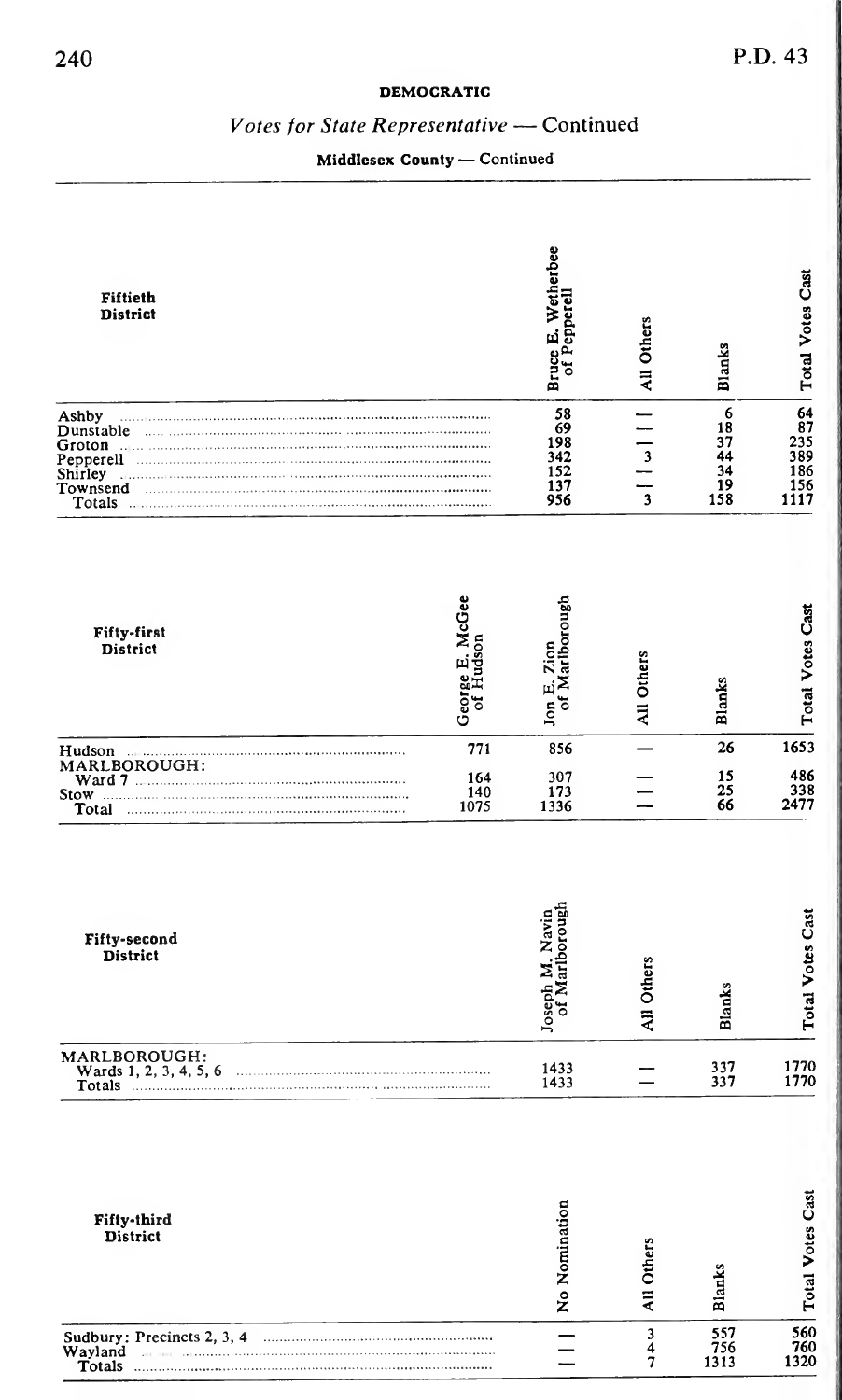### Votes for State Representative — Continued

| Fiftieth<br>District                                                                                             |                              | Bruce E. Wetherbee<br>of Pepperell                 | All Others                     | Blanks                                                      | <b>Total Votes Cast</b>                                   |
|------------------------------------------------------------------------------------------------------------------|------------------------------|----------------------------------------------------|--------------------------------|-------------------------------------------------------------|-----------------------------------------------------------|
| Ashby<br>$\overline{a_1}$<br>Dunstable<br>Groton<br>Pepperell<br>Shirley<br>Townsend<br>Totals<br><b>COLLANS</b> |                              | 58<br>69<br>198<br>342<br>352<br>152<br>137<br>956 | $\frac{1}{3}$<br>$\frac{1}{3}$ | 6<br>$\frac{18}{37}$<br>$\frac{44}{34}$<br>$\frac{19}{158}$ | $\frac{64}{87}$<br>235<br>389<br>186<br>156<br>1117       |
| Fifty-first<br>District                                                                                          | George E. McGee<br>of Hudson | of Marlborough<br>Jon E. Zion                      | All Others                     | Blanks                                                      | <b>Total Votes Cast</b>                                   |
| Hudson<br>MARLBOROUGH:                                                                                           | 771<br>164                   | 856<br>307<br>173                                  |                                | 26<br>15<br>25<br>66                                        | 1653<br>$\begin{array}{r} 486 \\ 338 \\ 2477 \end{array}$ |
| Total<br>Fifty-second<br>District                                                                                | $\frac{140}{1075}$           | 1336<br>of Marlborough<br>Joseph M. Navin          | All Others                     | <b>Blanks</b>                                               | Total Votes Cast                                          |
| MARLBOROUGH:<br>Wards 1, 2, 3, 4, 5, 6<br>Totals                                                                 |                              | 1433<br>1433                                       |                                | 337<br>337                                                  | 1770<br>1770                                              |
| Fifty-third<br>District                                                                                          |                              | No Nomination                                      | All Others                     | <b>Blanks</b>                                               | <b>Total Votes Cast</b>                                   |
| Sudbury: Precincts 2, 3, 4<br>Wayland<br>.<br>Totals                                                             |                              |                                                    | $\frac{3}{4}$                  | $\begin{array}{r}\n 557 \\  756 \\  1313\n\end{array}$      | $\frac{560}{760}$<br>1320                                 |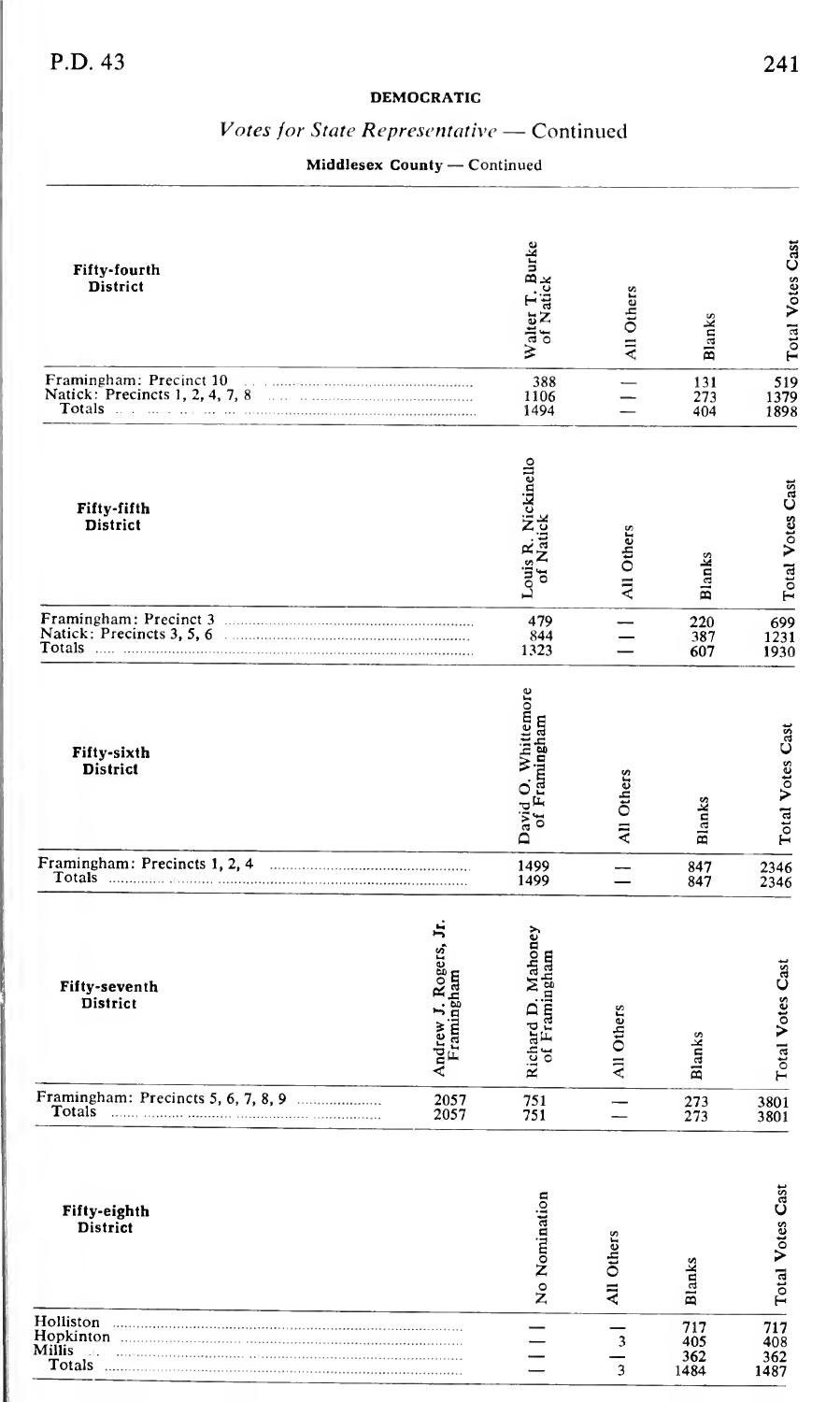# Votes for State Representative — Continued

| Fifty-fourth<br>District                                                                                                         |                                     | Walter T. Burke<br>of Natick         | All Others                               | Blanks                    | Total Votes Cast                                      |
|----------------------------------------------------------------------------------------------------------------------------------|-------------------------------------|--------------------------------------|------------------------------------------|---------------------------|-------------------------------------------------------|
| Framingham: Precinct 10<br>Natick: Precincts 1, 2, 4, 7, 8<br>Totals<br>a component de la componentation de la componentation de |                                     | 388<br>1106<br>1494                  |                                          | $\frac{131}{273}$<br>404  | $\frac{519}{1379}$                                    |
| Fifty-fifth<br>District                                                                                                          |                                     | Louis R. Nickinello<br>of Natick     | All Others                               | Blanks                    | $\begin{array}{c c}\n\hline\n\text{122}\n\end{array}$ |
| Natick: Precincts 3, 5, 6<br>Totals                                                                                              |                                     | 479<br>$\frac{844}{1323}$            |                                          | $\frac{220}{387}$<br>607  |                                                       |
| Fifty-sixth<br>District                                                                                                          |                                     | David O. Whittemore<br>of Framingham | All Others                               | Blanks                    | Total Votes Cast                                      |
| Framingham: Precincts 1, 2, 4                                                                                                    |                                     | 1499<br>1499                         |                                          | 847<br>847                | 2346<br>2346                                          |
| Fifty-seventh<br>District                                                                                                        | Andrew J. Rogers, Jr.<br>Framingham | Richard D. Mahoney<br>of Framingham  | All Others                               | Blanks                    | Total Votes Cast                                      |
| Framingham: Precincts 5, 6, 7, 8, 9<br>Totals                                                                                    | 2057<br>2057                        | $751$<br>$751$                       |                                          | 273<br>273                | 3801<br>3801                                          |
| Fifty-eighth<br>District                                                                                                         |                                     | No Nomination                        | All Others                               | Blanks                    | Total Votes Cast                                      |
| Holliston<br>Hopkinton<br>Millis<br>Totals                                                                                       |                                     |                                      | $\overline{\mathbf{3}}$<br>$\frac{1}{3}$ | 717<br>405<br>362<br>1484 | $\frac{362}{1487}$                                    |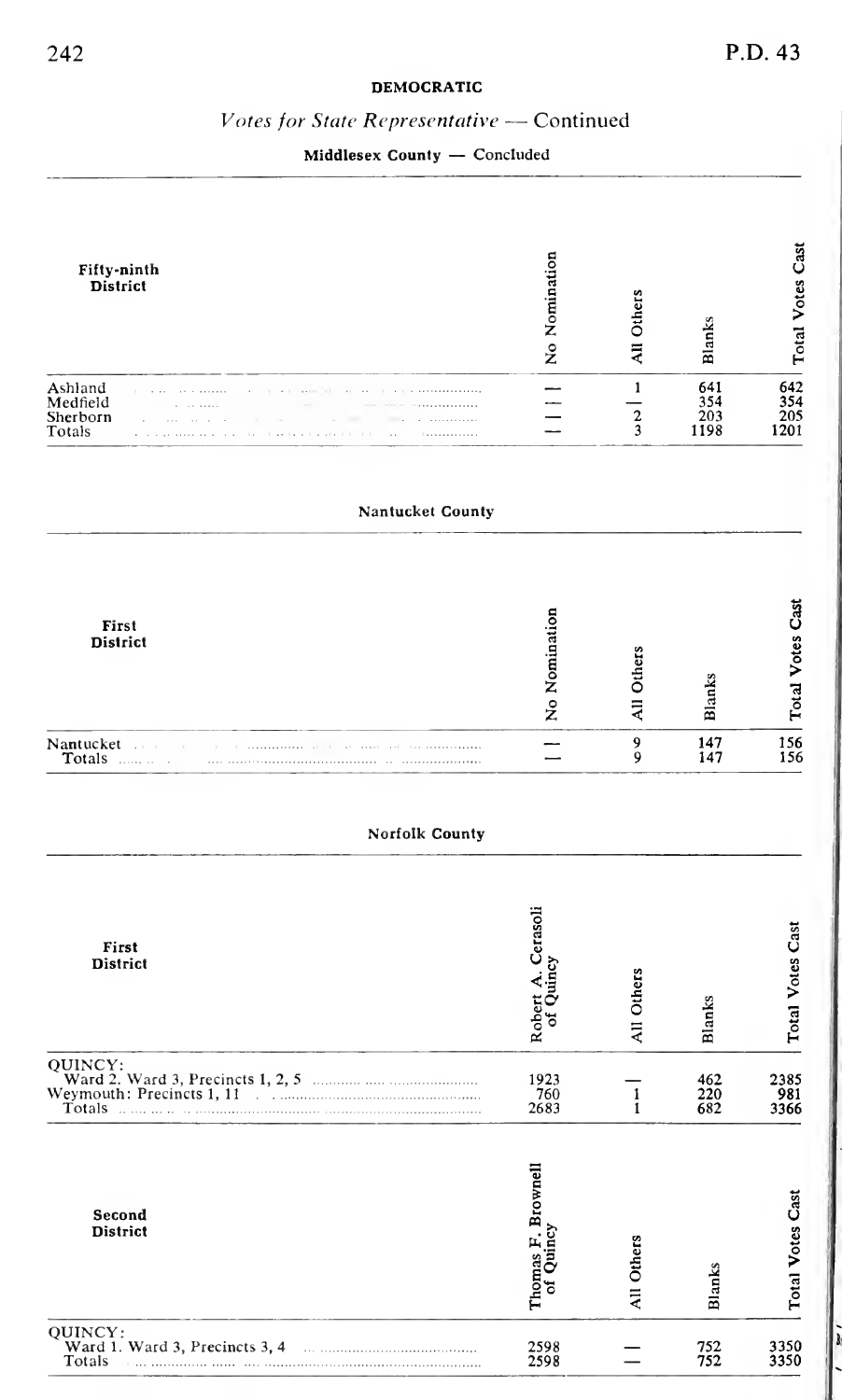# Votes for State Representative — Continued

Middlesex County — Concluded

| Fifty-ninth<br>District                                                                                                                                                                                                                                        | No Nomination                   | All Others                   | Blanks                                           | Total Votes Cast<br>2051<br>1201 |
|----------------------------------------------------------------------------------------------------------------------------------------------------------------------------------------------------------------------------------------------------------------|---------------------------------|------------------------------|--------------------------------------------------|----------------------------------|
| Ashland<br>$\alpha$ , $\alpha$ , $\alpha$ , $\alpha$ , $\alpha$<br>$\mathbf{r}=(1-\mathbf{r})\mathbf{r}$ , where<br>and a straightful and a component company<br>$\sim$<br>50<br>Medfield<br>Sherborn<br>Totals<br>consumers and international control of<br>. |                                 | $\mathbf 1$<br>$\frac{1}{3}$ | 641<br>354<br>203<br>1198                        |                                  |
| Nantucket County                                                                                                                                                                                                                                               |                                 |                              |                                                  |                                  |
| First<br>District                                                                                                                                                                                                                                              | No Nomination                   | All Others                   | Blanks                                           | Total Votes Cast                 |
| Nantucket<br>$\alpha$ , $\beta$ , $\beta$<br>The Commission of the con-<br>Totals<br>man as a series and manufacturing manufacture of the manufacturing                                                                                                        |                                 | 9<br>9                       | $\frac{147}{147}$                                | $\frac{1}{156}$<br>156           |
| <b>Norfolk County</b><br>First<br>District                                                                                                                                                                                                                     | Robert A. Cerasoli<br>of Quincy | All Others                   | Blanks                                           | Total Votes Cast                 |
| QUINCY:<br>Ward 2. Ward 3, Precincts 1, 2, 5<br>Weynouth: Precincts 1, 11<br>Totals                                                                                                                                                                            | 1923<br>760<br>2683             | $\frac{1}{1}$                | $\begin{array}{c} 462 \\ 220 \\ 682 \end{array}$ | 2385<br>981<br>3366              |
| Second<br>District                                                                                                                                                                                                                                             | Thomas F. Brownell<br>of Quincy | All Others                   | Blanks                                           | <b>Total Votes Cast</b>          |
| QUINCY:<br>Ward 1. Ward 3, Precincts 3, 4<br>Totals                                                                                                                                                                                                            | 2598<br>2598                    |                              | 752<br>752                                       | 3350<br>3350                     |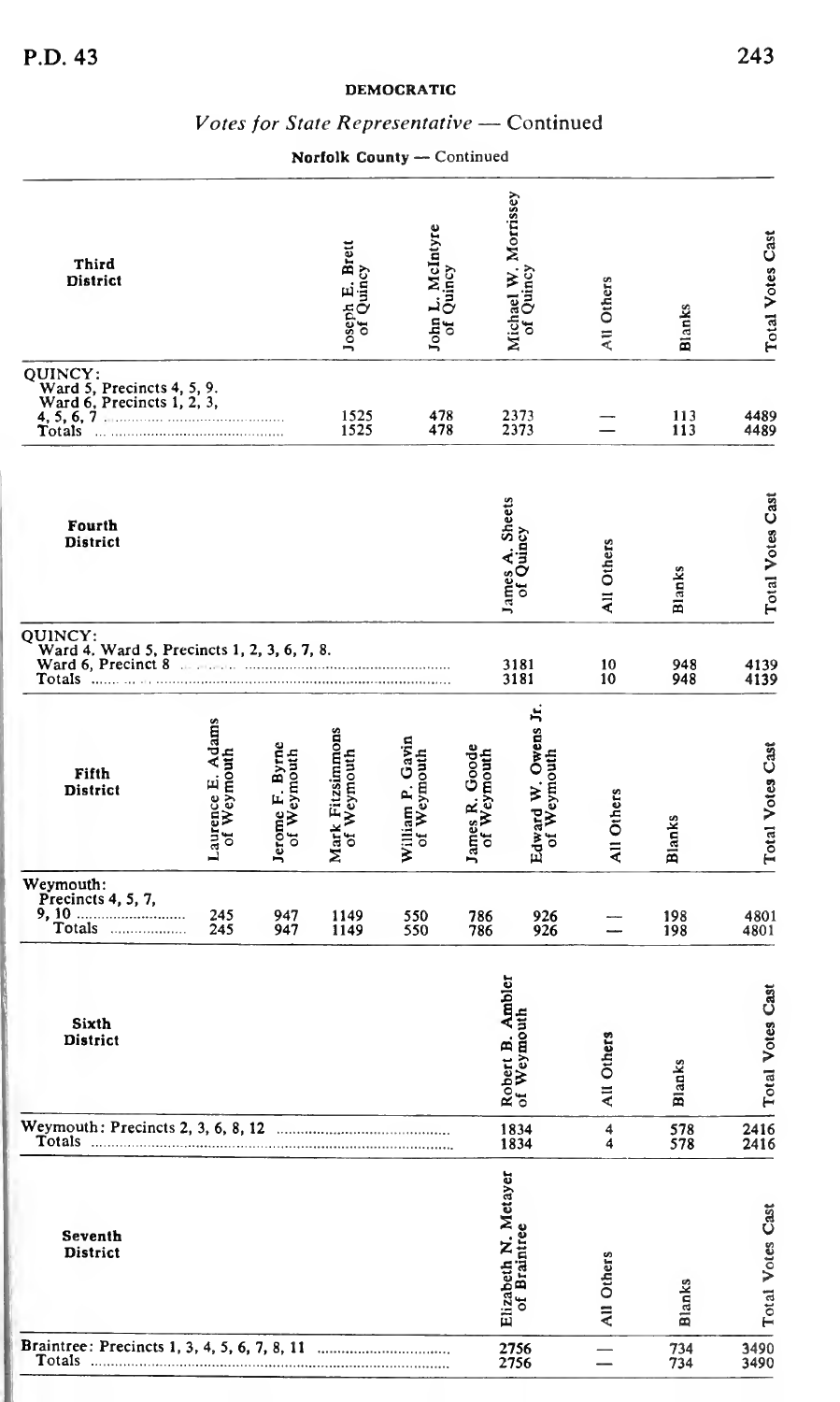# Votes for State Representative — Continued

|                                                                                             |                                  |                                | Norfolk County - Continued      |                                 |                               |                                      |                                                 |                   |                                  |
|---------------------------------------------------------------------------------------------|----------------------------------|--------------------------------|---------------------------------|---------------------------------|-------------------------------|--------------------------------------|-------------------------------------------------|-------------------|----------------------------------|
| Third<br>District                                                                           |                                  |                                | Joseph E. Brett<br>of Quincy    | John L. McIntyre<br>of Quincy   |                               | Michael W. Morrissey<br>of Quincy    | All Others                                      | <b>Blanks</b>     | <b>Total Votes Cast</b>          |
| QUINCY:<br>Ward 5, Precincts 4, 5, 9,<br>Ward 6, Precincts 1, 2, 3,<br>4, 5, 6, 7<br>Totals |                                  |                                | 1525<br>1525                    | 478<br>478                      |                               | 2373<br>2373                         |                                                 | $\frac{113}{113}$ | 4489<br>4489                     |
| Fourth<br>District                                                                          |                                  |                                |                                 |                                 |                               | James A. Sheets<br>of Quincy         | All Others                                      | Blanks            | <b>Total Votes Cast</b>          |
| QUINCY:<br>Ward 4. Ward 5, Precincts 1, 2, 3, 6, 7, 8.<br>Ward 6, Precinct 8<br>Totals      |                                  |                                |                                 |                                 |                               | 3181<br>3181                         | $\begin{smallmatrix} 10 \ 10 \end{smallmatrix}$ | 948<br>948        | 4139<br>4139                     |
| Fifth<br><b>District</b>                                                                    | Laurence E. Adams<br>of Weymouth | Jerome F. Byrne<br>of Weymouth | Mark Fitzsimmons<br>of Weymouth | William P. Gavin<br>of Weymouth | James R. Goode<br>of Weymouth | Edward W. Owens Jr.<br>of Weymouth   | All Others                                      | <b>Blanks</b>     | Total Votes Cast                 |
| Weymouth:<br>Precincts 4, 5, 7,<br>9, 10<br>Totals                                          | 245<br>245                       | 947<br>947                     | 1149<br>1149                    | 550<br>550                      | 786<br>786                    | 926<br>926                           |                                                 | 198<br>198        | 4801<br>4801                     |
| Sixth<br>District                                                                           |                                  |                                |                                 |                                 |                               | Robert B. Ambler<br>of Weymouth      | All Others                                      | <b>Blanks</b>     | 2416<br>2416<br>50tal Votes Cast |
| Weymouth: Precincts 2, 3, 6, 8, 12<br>Totals                                                |                                  |                                |                                 |                                 |                               | 1834<br>1834                         | $\frac{4}{4}$                                   | 578<br>578        |                                  |
| Seventh<br><b>District</b>                                                                  |                                  |                                |                                 |                                 |                               | Elizabeth N. Metayer<br>of Braintree | All Others                                      | <b>Blanks</b>     | $\frac{1}{200}$ Total Votes Cast |
| Braintree: Precincts 1, 3, 4, 5, 6, 7, 8, 11<br>Totals                                      |                                  |                                |                                 |                                 |                               | 2756<br>2756                         |                                                 | 734<br>734        |                                  |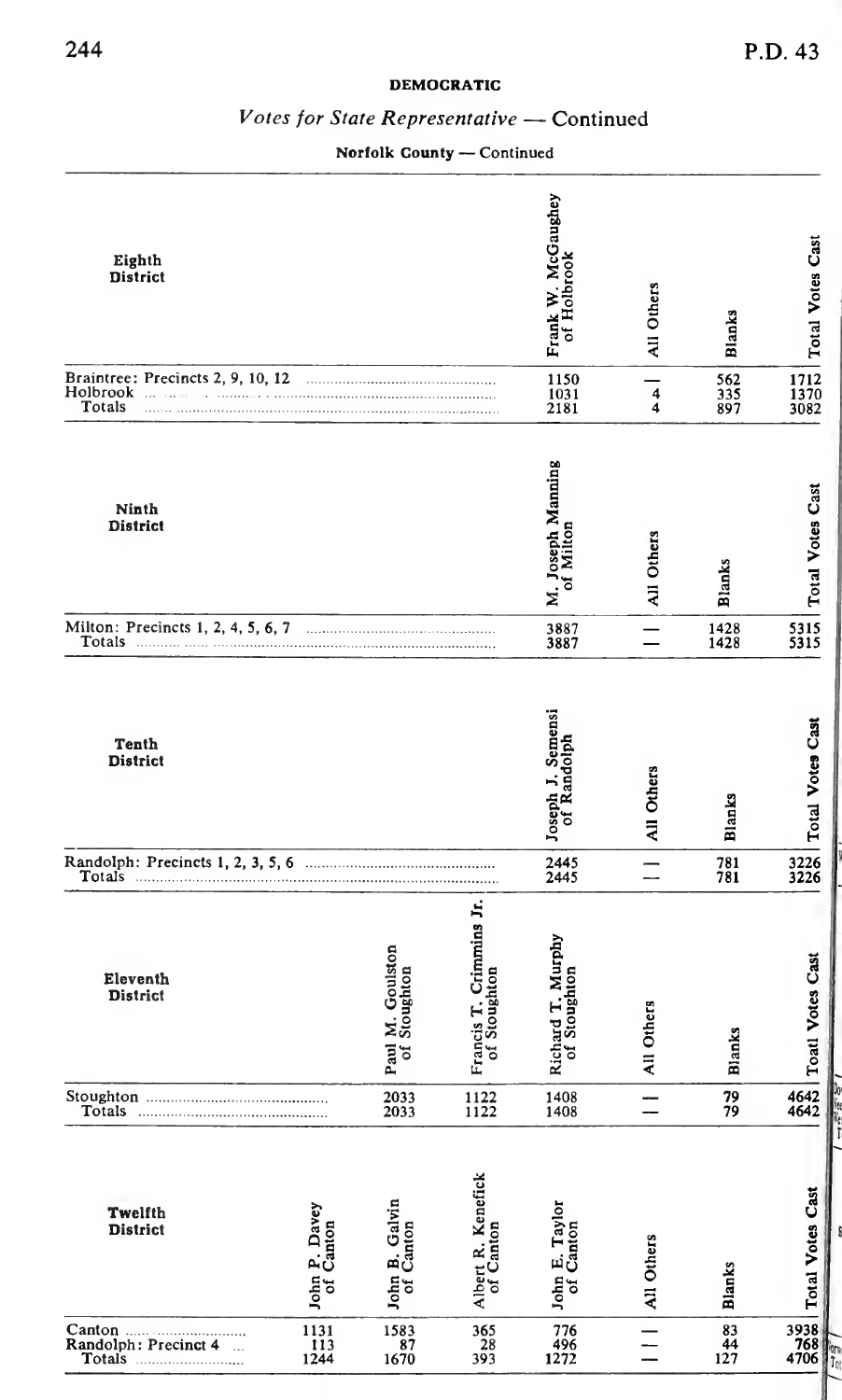# Votes for State Representative — Continued

### Norfolk County — Continued

| Eighth<br>District                                      |                                                           |                                  |                                                      | Frank W. McGaughey<br>of Holbrook | All Others    | <b>Blanks</b>          | Total Votes Cast                |
|---------------------------------------------------------|-----------------------------------------------------------|----------------------------------|------------------------------------------------------|-----------------------------------|---------------|------------------------|---------------------------------|
| Braintree: Precincts 2, 9, 10, 12<br>Holbrook<br>Totals |                                                           |                                  |                                                      | 1150<br>1031<br>2181              | $\frac{4}{4}$ | 562<br>335<br>897      | $\frac{1712}{1370}$<br>3082     |
| Ninth<br>District                                       |                                                           |                                  |                                                      | M. Joseph Manning<br>of Milton    | All Others    | Blanks                 | Total Votes Cast                |
| Milton: Precincts 1, 2, 4, 5, 6, 7<br>Totals            |                                                           |                                  |                                                      | 3887<br>3887                      |               | 1428<br>1428           | 5315<br>5315                    |
| <b>Tenth</b><br><b>District</b>                         |                                                           |                                  |                                                      | Joseph J. Semensi<br>of Randolph  | All Others    | Blanks                 | <b>Total Votes Cast</b>         |
|                                                         |                                                           |                                  |                                                      | 2445<br>2445                      |               | 781<br>781             | 3226<br>3226                    |
| Eleventh<br>District                                    |                                                           | Paul M. Goulston<br>of Stoughton | Francis T. Crimmins Jr.<br>of Stoughton              | Richard T. Murphy<br>of Stoughton | All Others    | <b>Blanks</b>          | And Toatl Votes Cast            |
| Totals                                                  |                                                           | 2033<br>2033                     | $\begin{array}{c} 1122 \\ 1122 \end{array}$          | 1408<br>1408                      |               | 79<br>79               |                                 |
| Twelfth<br><b>District</b>                              | John P. Davey<br>of Canton                                | John B. Galvin<br>Canton         | Albert R. Kenefick<br>of Canton                      | John E. Taylor<br>of Canton       | All Others    | <b>Blanks</b>          | Total Votes Cast                |
| Canton<br>Canton<br>Randolph: Precinct 4<br>$\sim$      | $\begin{array}{c} \n 1131 \\  113 \\  1244\n \end{array}$ | $\frac{1583}{87}$<br>1670        | $\begin{array}{r}\n 365 \\  28 \\  393\n\end{array}$ | $\frac{776}{496}$<br>1272         |               | $\frac{83}{44}$<br>127 | 3938<br>768<br>4706<br>in<br>To |
|                                                         |                                                           |                                  |                                                      |                                   |               |                        |                                 |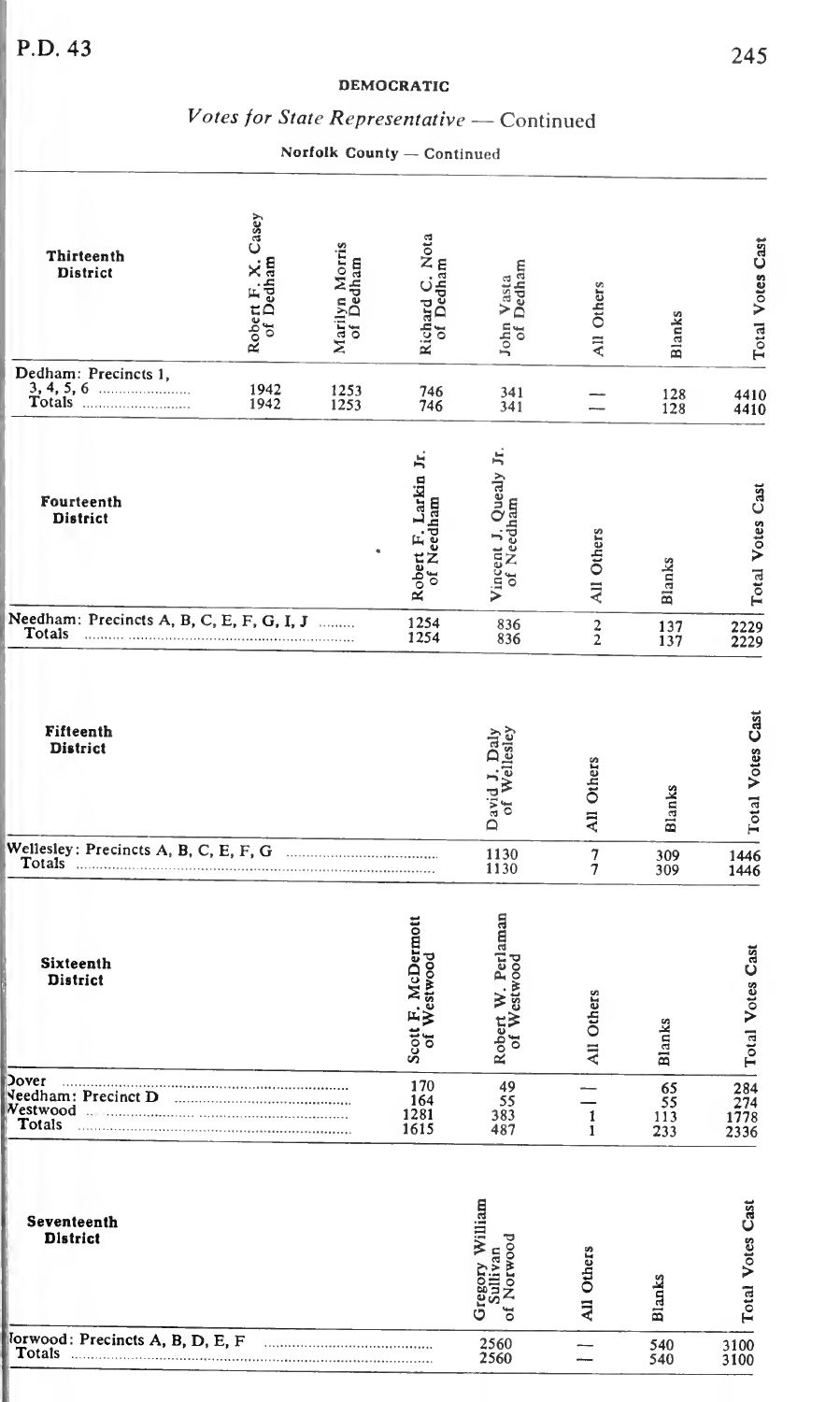# P.D. 43

### DEMOCRATIC

# Votes for State Representative — Continued

|                                                     |                                 |                             | Norfolk County - Continued         |                                           |               |                                           |                                       |
|-----------------------------------------------------|---------------------------------|-----------------------------|------------------------------------|-------------------------------------------|---------------|-------------------------------------------|---------------------------------------|
| Thirteenth<br>District                              | Robert F. X. Casey<br>of Dedham | Marilyn Morris<br>of Dedham | Richard C. Nota<br>of Dedham       | John Vasta<br>of Dedham                   | All Others    | Blanks                                    | Total Votes Cast                      |
| Dedham: Precincts 1,<br>3, 4, 5, 6<br>Totals        | 1942<br>1942                    | 1253<br>1253                | 746<br>746                         | $\frac{341}{341}$                         |               | $\begin{array}{c} 128 \\ 128 \end{array}$ | 4410<br>4410                          |
| Fourteenth<br>District                              |                                 |                             | Robert F. Larkin Jr.<br>of Needham | Vincent J. Quealy Jr.<br>of Needham       | All Others    | Blanks                                    | <b>Total Votes Cast</b>               |
| Needham: Precincts A, B, C, E, F, G, I, J<br>Totals |                                 |                             | 1254<br>1254                       | 836<br>836                                | $\frac{2}{2}$ | $\frac{137}{137}$                         | 2229<br>2229                          |
| Fifteenth<br><b>District</b>                        |                                 |                             |                                    | David J. Daly<br>of Wellesley             | All Others    | Blanks                                    | $\frac{1}{2}$ Total Votes Cast        |
| Totals                                              |                                 |                             |                                    | 1130<br>1130                              | $\frac{7}{7}$ | 309<br>309                                | 1446                                  |
| <b>Sixteenth</b><br>District                        |                                 |                             | Scott F. McDermott<br>of Westwood  | Robert W. Perlaman<br>of Westwood         | All Others    | Blanks                                    | 2336<br>2322 Total Votes Cast<br>2336 |
| <b>Dover</b><br>Veedham: Precinct D<br>Totals       |                                 |                             | 170<br>$\frac{164}{1281}$<br>1615  | $\frac{49}{55}$<br>383<br>487             | $\frac{1}{1}$ | $\frac{65}{55}$<br>113<br>233             |                                       |
| Seventeenth<br><b>District</b>                      |                                 |                             |                                    | Gregory William<br>of Norwood<br>Sullivan | All Others    | <b>Blanks</b>                             | Total Votes Cast                      |
| lorwood: Precincts A, B, D, E, F<br>Totals          |                                 |                             |                                    | 2560<br>2560                              |               | 540<br>540                                | 3100<br>3100                          |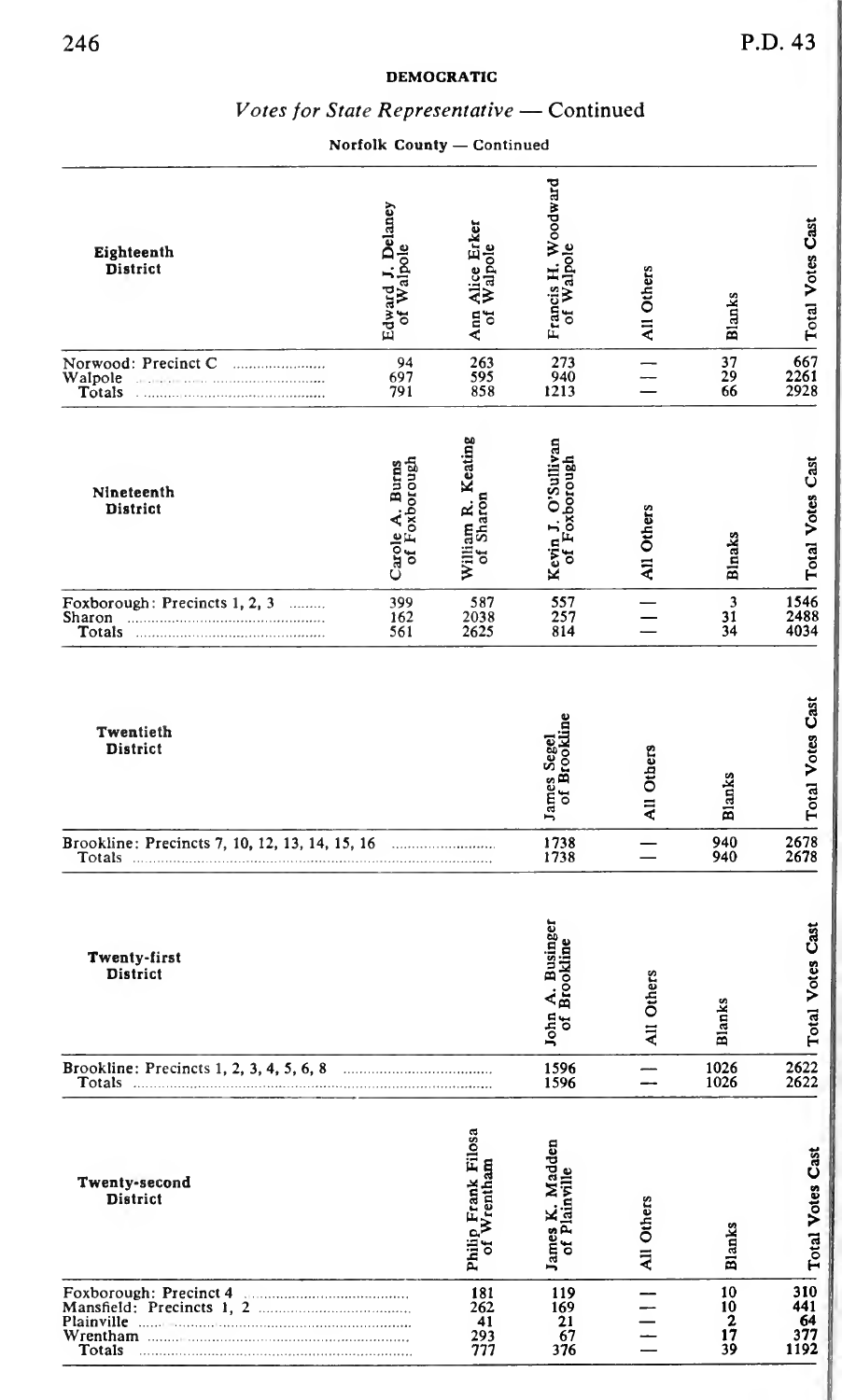### Votes for State Representative - Continued

Norfolk County - Continued

| Eighteenth<br><b>District</b>                                               | Edward J. Delaney<br>of Walpole  | Ann Alice Erker<br>of Walpole         | Francis H. Woodward<br>of Walpole          | All Others | Blanks                           | $\begin{array}{c c}\n\text{200} & \text{Total Votes Cast} \\ \text{222} & \text{228}\n\end{array}$                                                                                                                                            |
|-----------------------------------------------------------------------------|----------------------------------|---------------------------------------|--------------------------------------------|------------|----------------------------------|-----------------------------------------------------------------------------------------------------------------------------------------------------------------------------------------------------------------------------------------------|
| Norwood: Precinct C<br>Walpole<br>.<br>Totals                               | 94<br>697<br>791                 | 263<br>595<br>858                     | 273<br>940<br>1213                         |            | $\frac{37}{29}$<br>66            |                                                                                                                                                                                                                                               |
| Nineteenth<br>District                                                      | Carole A. Burns<br>of Foxborough | William R. Keating<br>of Sharon       | Kevin J. O'Sullivan<br>Foxborough<br>능     | All Others | Blnaks                           | 23488 Total Votes Cast<br>4034<br>4034                                                                                                                                                                                                        |
| Foxborough: Precincts 1, 2, 3<br>Sharon<br>.<br>Totals                      | 399<br>162<br>561                | 587<br>2038<br>2625                   | 557<br>257<br>814                          |            | $\frac{3}{31}$<br>$\frac{3}{34}$ |                                                                                                                                                                                                                                               |
| Twentieth<br><b>District</b>                                                |                                  |                                       | James Segel<br>of Brookline                | All Others | Blanks                           | 2678 Total Votes Cast                                                                                                                                                                                                                         |
| Brookline: Precincts 7, 10, 12, 13, 14, 15, 16<br>Totals                    |                                  |                                       | 1738<br>1738                               |            | 940<br>940                       |                                                                                                                                                                                                                                               |
| Twenty-first<br>District                                                    |                                  |                                       | John A. Businger<br><b>Brookline</b><br>ซี | All Others | Blanks                           | 2622<br>Total Votes Cast<br>2622                                                                                                                                                                                                              |
| Brookline: Precincts 1, 2, 3, 4, 5, 6, 8<br>Totals                          |                                  |                                       | 1596<br>1596                               |            | 1026<br>1026                     |                                                                                                                                                                                                                                               |
| Twenty-second<br>District                                                   |                                  | Philip Frank Filosa<br>of Wrentham    | James K. Madden<br>of Plainville           | All Others | <b>Blanks</b>                    | $\frac{1}{2}$ $\frac{1}{2}$ $\frac{1}{2}$ $\frac{1}{2}$ $\frac{1}{2}$ $\frac{1}{2}$ $\frac{1}{2}$ $\frac{1}{2}$ $\frac{1}{2}$ $\frac{1}{2}$ $\frac{1}{2}$ $\frac{1}{2}$ $\frac{1}{2}$ $\frac{1}{2}$ $\frac{1}{2}$ $\frac{1}{2}$ $\frac{1}{2}$ |
| Foxborough: Precinct 4<br>Mansfield: Precincts 1, 2<br>Plainville<br>Totals |                                  | 181<br>$\frac{262}{41}$<br>293<br>777 | 119<br>$\frac{169}{21}$<br>376             |            | 10<br>$\frac{10}{17}$<br>39      | 1192                                                                                                                                                                                                                                          |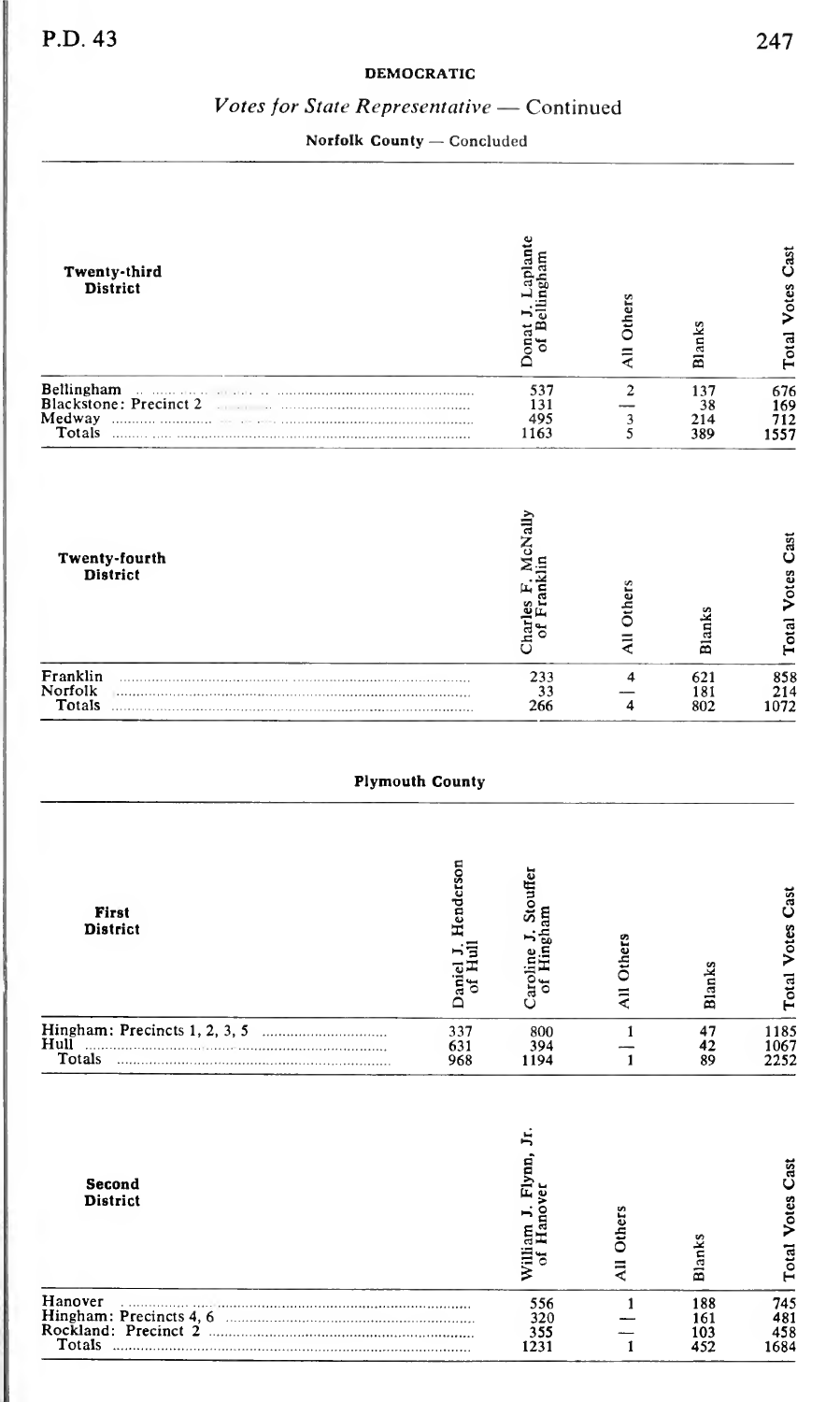I

#### **DEMOCRATIC**

# Votes for State Representative - Continued

Norfolk County - Concluded

| Twenty-third<br>District                                                     |                                |                                     |                                  |                                                  |                                                 |
|------------------------------------------------------------------------------|--------------------------------|-------------------------------------|----------------------------------|--------------------------------------------------|-------------------------------------------------|
|                                                                              |                                | Donat J. Laplante<br>of Bellingham  | All Others                       | Blanks                                           | $\frac{1}{2}$ Total Votes Cast<br>1557          |
| Bellingham<br>Blackstone: Precinct 2<br>Medway<br><b>CONTRACTO</b><br>Totals |                                | 537<br>$\frac{131}{495}$<br>1163    | $\overline{2}$<br>$\frac{1}{3}$  | 137<br>$\frac{38}{214}$<br>389                   |                                                 |
| Twenty-fourth<br><b>District</b>                                             |                                | Charles F. McNally<br>of Franklin   | All Others                       | Blanks                                           | 10tal Votes Cast<br>1072<br>24 April Votes Cast |
| Franklin<br>Norfolk<br>Totals                                                |                                | 233<br>$\frac{33}{266}$             | $\overline{4}$<br>$\overline{4}$ | $\begin{array}{r} 621 \\ 181 \\ 802 \end{array}$ |                                                 |
|                                                                              | <b>Plymouth County</b>         |                                     |                                  |                                                  |                                                 |
| First<br>District                                                            | Daniel J. Henderson<br>of Hull | Caroline J. Stouffer<br>of Hingham  | All Others                       | Blanks                                           | Total Votes Cast                                |
| Hingham: Precincts 1, 2, 3, 5<br>Hull<br>Totals                              | 337<br>$631$<br>968            | 800<br>394<br>1194                  | $\mathbf 1$<br>$\overline{1}$    | $\frac{47}{42}$<br>89                            | 1185<br>1067<br>2252                            |
| Second<br>District                                                           |                                | William J. Flynn, Jr.<br>of Hanover | All Others                       | Blanks                                           | <b>Total Votes Cast</b>                         |
| Hanover<br>Totals                                                            |                                | 556<br>320<br>355<br>1231           | $\mathbf{1}$<br>$\mathbf{1}$     | 188<br>161<br>103<br>452                         | 745<br>481<br>458<br>1684                       |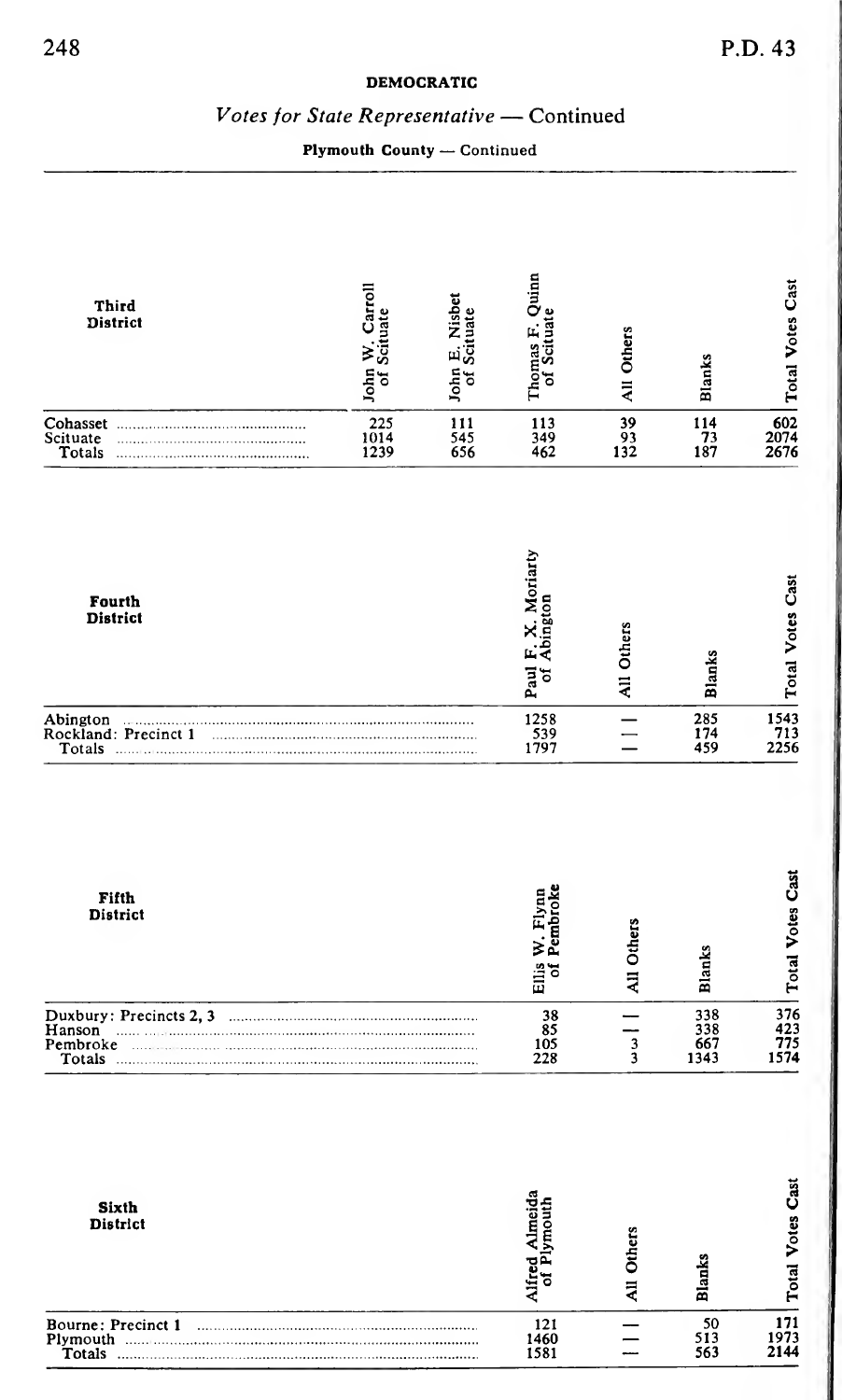# Votes for State Representative - Continued

Plymouth County - Continued

| Third<br>District<br>Scituate<br>Totals<br>Fourth<br><b>District</b><br>Abington<br>Rockland: Precinct 1<br>Totals | John W. Carroll<br>of Scituate<br>$\frac{225}{1014}$<br>1239 | John E. Nisbet<br>of Scituate<br>111<br>545<br>656 | Thomas F. Quinn<br>of Scituate<br>113<br>349<br>462<br>Paul F. X. Moriarty<br>of Abington<br>1258<br>539<br>1797 | All Others<br>$\frac{39}{93}$<br>132<br>All Others | <b>Blanks</b><br>$\begin{array}{c} 114 \\ 73 \\ 187 \end{array}$<br><b>Blanks</b><br>285<br>174<br>459 | Total Votes Cast<br>$\frac{602}{2074}$<br>2074<br>Total Votes Cast<br>$\begin{array}{c}\n 1543 \\  713 \\  2256\n \end{array}$ |
|--------------------------------------------------------------------------------------------------------------------|--------------------------------------------------------------|----------------------------------------------------|------------------------------------------------------------------------------------------------------------------|----------------------------------------------------|--------------------------------------------------------------------------------------------------------|--------------------------------------------------------------------------------------------------------------------------------|
| Fifth<br>District<br>Duxbury: Precincts 2, 3                                                                       |                                                              |                                                    | Ellis W. Flynn<br>of Pembroke                                                                                    | All Others                                         | <b>Blanks</b>                                                                                          | Total Votes Cast                                                                                                               |
| Hanson<br>Pembroke<br>Sixth<br>District                                                                            |                                                              |                                                    | $3885$<br>$105$<br>$228$<br>Alfred Almeida<br>of Plymouth                                                        | $\frac{1}{3}$<br>All Others                        | $\begin{array}{c} 338 \\ 338 \\ 667 \\ 1343 \end{array}$<br>Blanks                                     | $\frac{376}{423}$<br>1574                                                                                                      |
| Bourne: Precinct 1<br>Plymouth<br>Totals                                                                           |                                                              |                                                    | 121<br>1460<br>1581                                                                                              |                                                    | 50<br>513<br>563                                                                                       |                                                                                                                                |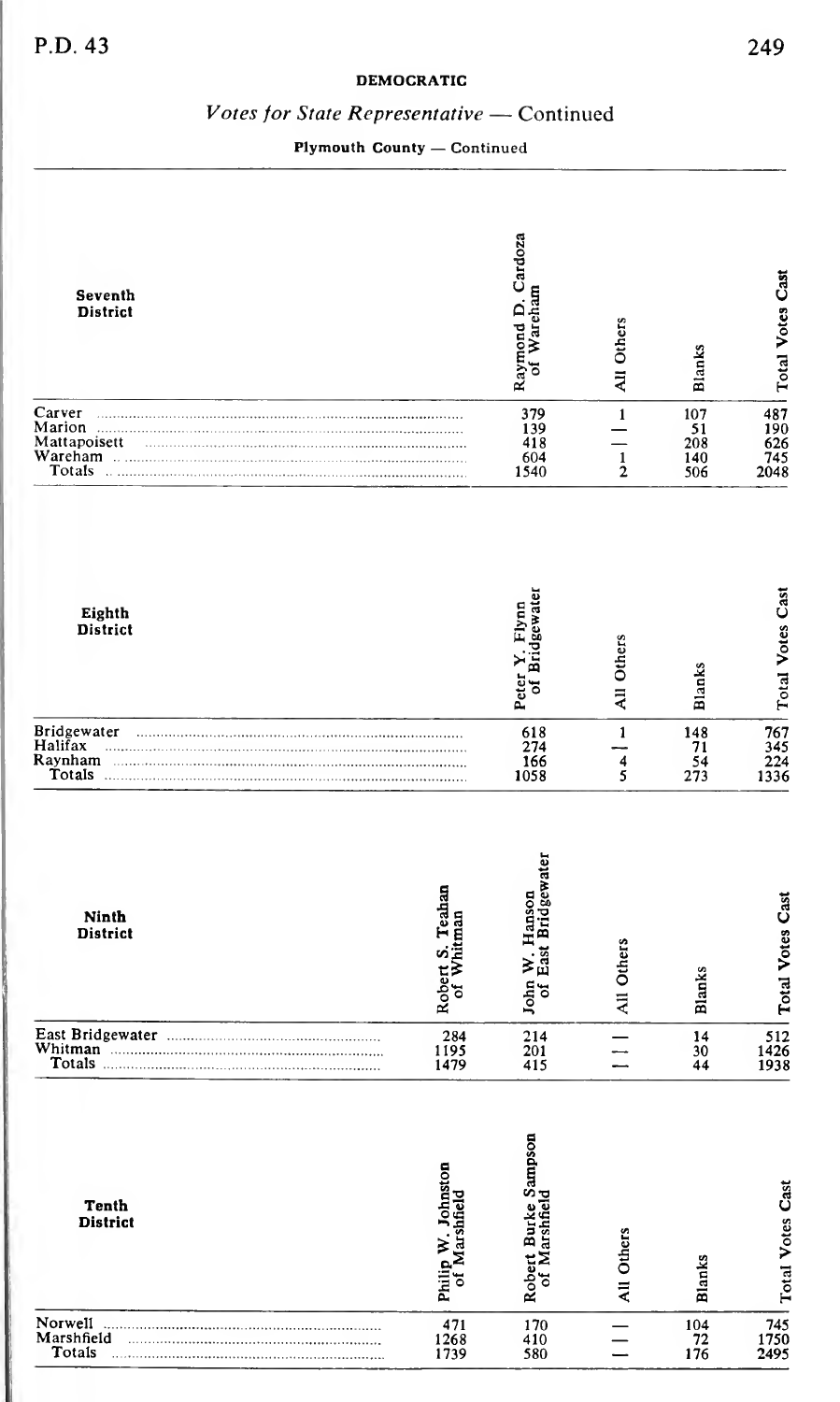### Votes for State Representative — Continued

Plymouth County — Continued

| Seventh<br><b>District</b>                                                                                                                                                                                                           |                                     | Raymond D. Cardoza<br>of Wareham                         | All Others                    | Blanks                                                                 | date of the Main Votes Cast<br>487<br>1906<br>2048<br>2048 |
|--------------------------------------------------------------------------------------------------------------------------------------------------------------------------------------------------------------------------------------|-------------------------------------|----------------------------------------------------------|-------------------------------|------------------------------------------------------------------------|------------------------------------------------------------|
| Carver<br><b>Contract Contract Contract Contract Contract Contract Contract Contract Contract Contract Contract Contract Co</b><br>Marion<br>Mattapoisett<br>Wareham<br>Totals                                                       |                                     | 379<br>$\frac{139}{418}$<br>604<br>1540                  | $\mathbf{1}$<br>$\frac{1}{2}$ | $\frac{107}{51}$<br>208<br>140<br>506                                  |                                                            |
| Eighth<br>District                                                                                                                                                                                                                   |                                     | of Bridgewater<br>Peter Y. Flynn                         | All Others                    | Blanks                                                                 | <b>Total Votes Cast</b>                                    |
| Bridgewater<br>Halifax<br>Raynham                                                                                                                                                                                                    |                                     | $\begin{array}{c} 618 \\ 274 \\ 166 \\ 1058 \end{array}$ | $\mathbf{1}$<br>$\frac{4}{5}$ | $\begin{array}{r} \n 148 \\  \hline\n 71 \\  54 \\  273\n \end{array}$ | $767$<br>$345$<br>$224$<br>$1336$                          |
| <b>Ninth</b><br><b>District</b>                                                                                                                                                                                                      | Robert S. Teahan<br>of Whitman      | East Bridgewater<br>John W. Hanson<br>5                  | All Others                    | Blanks                                                                 | <b>Total Votes Cast</b>                                    |
| Whitman <u>Manuel (1999), Whitman Manuel (1999</u> ), Whitman Manuel (1999), Whitman Manuel (1999), White (1999), White (1999), White (1999), White (1999), White (1999), White (1999), White (1999), White (1999), White (1999), Wh | 284<br>1195<br>1479                 | $\frac{214}{201}$                                        |                               | $\frac{14}{30}$                                                        | $\frac{512}{1426}$<br>1938                                 |
| Tenth<br><b>District</b>                                                                                                                                                                                                             | Philip W. Johnston<br>of Marshfield | Robert Burke Sampson<br>of Marshfield                    | All Others                    | Blanks                                                                 | <b>Total Votes Cast</b>                                    |
| Norwell<br>Marshfield<br>Totals                                                                                                                                                                                                      | $\frac{471}{1268}$<br>1739          | $\frac{170}{410}$<br>580                                 |                               | $\frac{104}{72}$<br>176                                                | $\frac{745}{1750}$                                         |
|                                                                                                                                                                                                                                      |                                     |                                                          |                               |                                                                        |                                                            |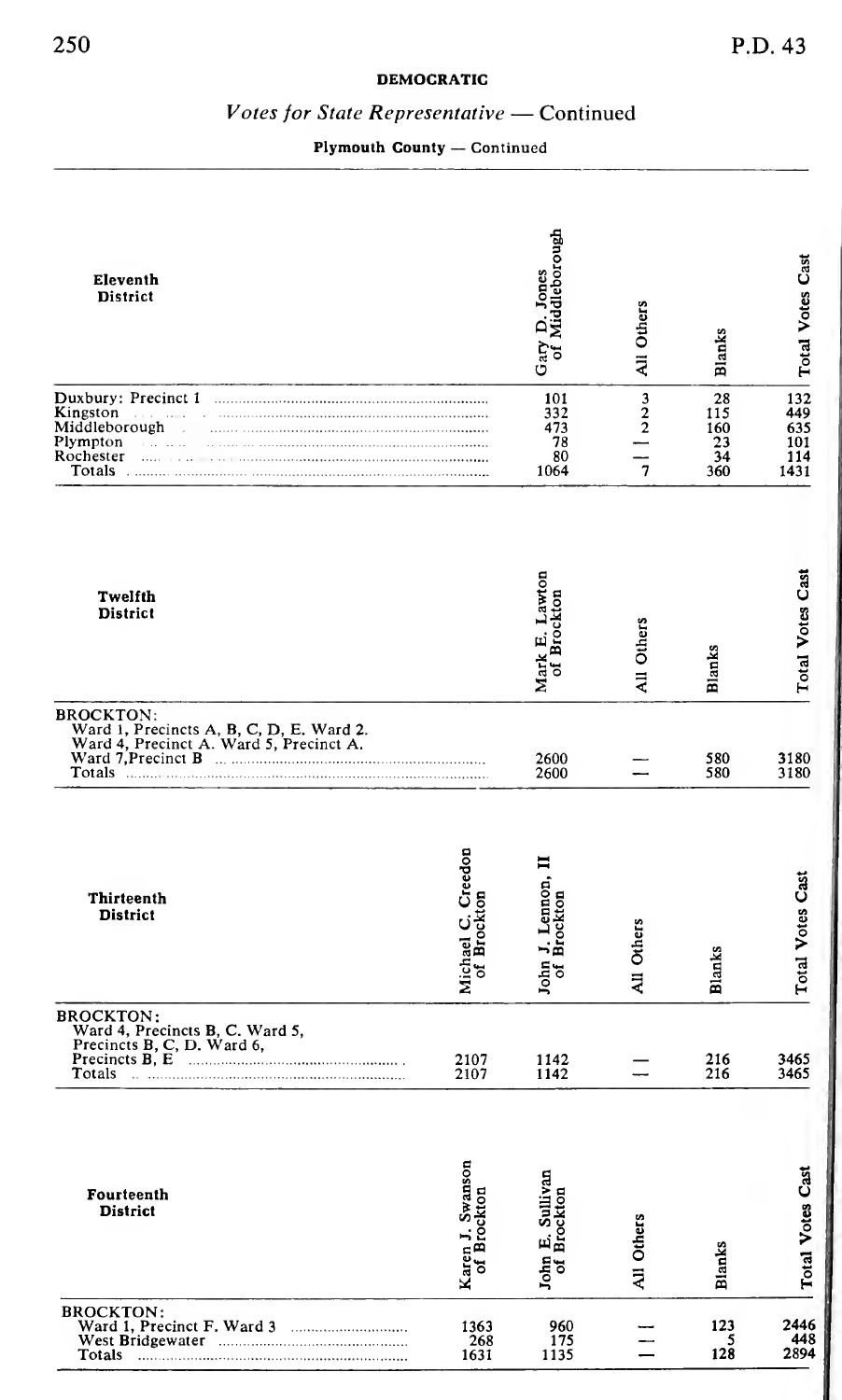# Votes for State Representative — Continued

Plymouth County — Continued

| Eleventh<br>District                                                                                                                                            |                                                    | Gary D. Jones<br>of Middleborough     | All Others                                      | Blanks                                                         |                         |
|-----------------------------------------------------------------------------------------------------------------------------------------------------------------|----------------------------------------------------|---------------------------------------|-------------------------------------------------|----------------------------------------------------------------|-------------------------|
| Kingston<br>contractors.<br>Middleborough<br>$\sim$<br>Plympton<br>v.<br>Rochester                                                                              |                                                    | 101<br>332<br>473<br>78<br>80<br>1064 | $\frac{3}{2}$<br>$\frac{2}{2}$<br>$\frac{1}{7}$ | $\frac{28}{115}$<br>$\frac{160}{23}$<br>$\frac{23}{34}$<br>360 | 114<br>1431             |
| Twelfth<br>District                                                                                                                                             |                                                    | Mark E. Lawton<br>of Brockton         | All Others                                      | Blanks                                                         | <b>Total Votes Cast</b> |
| <b>BROCKTON:</b><br>Totals                                                                                                                                      |                                                    | 2600<br>2600                          |                                                 | 580<br>580                                                     | 3180<br>3180            |
| Thirteenth<br><b>District</b>                                                                                                                                   | Michael C. Creedon<br>of Brockton                  | John J. Lennon, II<br>Brockton<br>ð   | All Others                                      | <b>Blanks</b>                                                  | Total Votes Cast        |
| <b>BROCKTON:</b><br>Ward 4, Precincts <b>B</b> , C. Ward 5,<br>Precincts <b>B</b> , C, D. Ward 6,<br>Precincts <b>B</b> , E<br>Precincts <b>B</b> , E<br>Totals | 2107<br>2107                                       | 1142<br>1142                          |                                                 | 216<br>216                                                     | 3465<br>3465            |
| Fourteenth<br><b>District</b>                                                                                                                                   | Karen J. Swanson<br>of Brockton                    | John E. Sullivan<br>of Brockton       | All Others                                      | Blanks                                                         | Total Votes Cast        |
| <b>BROCKTON:</b><br>Ward 1, Precinct F. Ward 3<br>Totals                                                                                                        | $\begin{array}{c} 1363 \\ 268 \\ 1631 \end{array}$ | 960<br>175<br>1135                    |                                                 | $\begin{array}{c} 123 \\ 5 \\ 128 \end{array}$                 | 2446<br>448<br>2894     |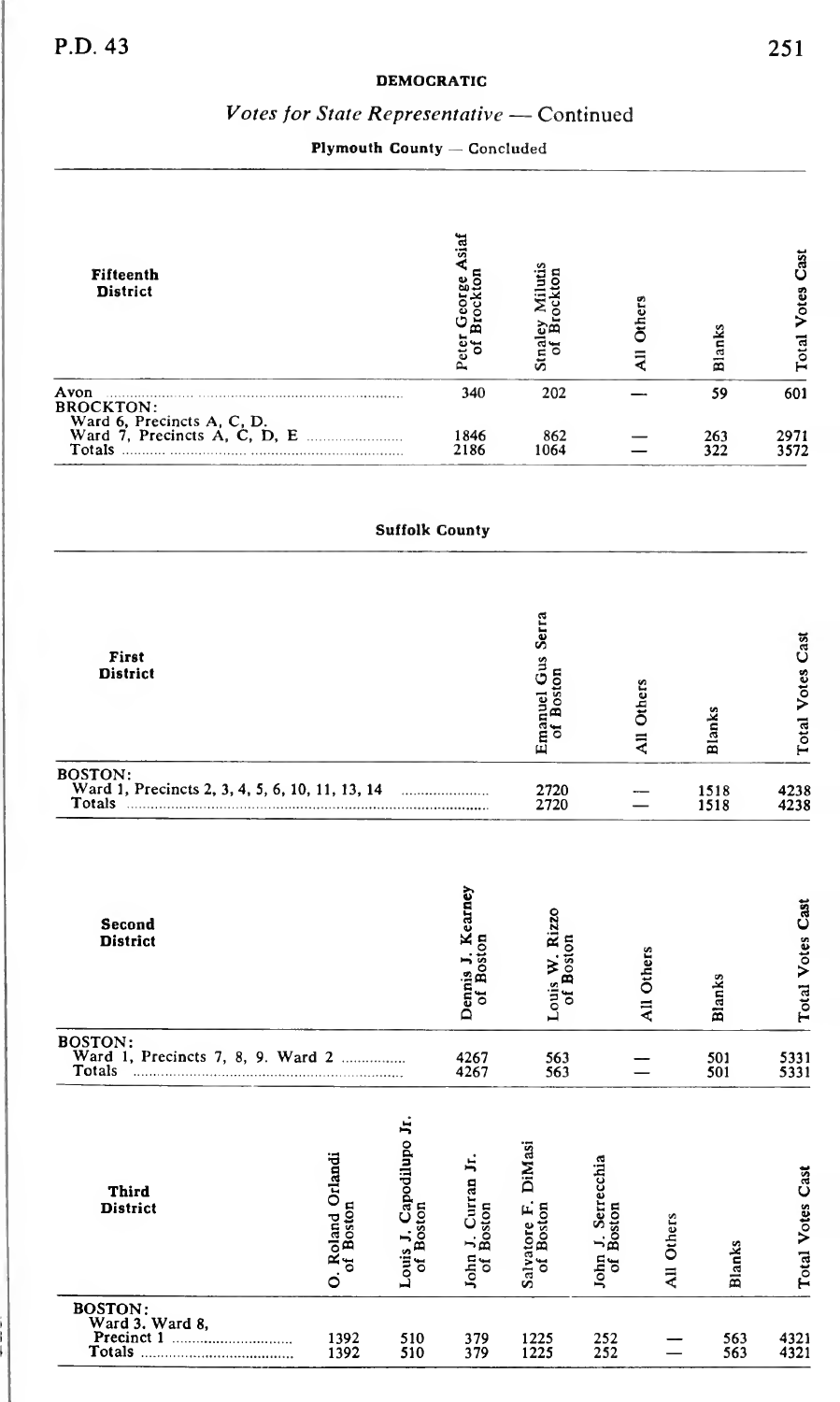i<br>I

### DEMOCRATIC

# Votes for State Representative — Continued

Plymouth County — Concluded

| Fifteenth<br>District<br>Avon<br>BROCKTON:<br>Ward 6, Precincts A, C, D.<br>Ward 7, Precincts A, C, D, E |                                |                                      | Peter George Asiaf<br>of Brockton<br>340 | Stnaley Milutis<br>of Brockton<br>202 |                                 | All Others | <b>Blanks</b><br>59 | <b>2</b> Total Votes Cast |
|----------------------------------------------------------------------------------------------------------|--------------------------------|--------------------------------------|------------------------------------------|---------------------------------------|---------------------------------|------------|---------------------|---------------------------|
| Totals<br>                                                                                               |                                |                                      | 1846<br>2186                             | $\frac{862}{1064}$                    |                                 |            | 263<br>322          | 2971<br>3572              |
|                                                                                                          |                                | <b>Suffolk County</b>                |                                          |                                       |                                 |            |                     |                           |
| First<br><b>District</b>                                                                                 |                                |                                      |                                          | Emanuel Gus Serra<br>of Boston        |                                 | All Others | Blanks              | Total Votes Cast          |
| BOSTON:<br>Ward 1, Precincts 2, 3, 4, 5, 6, 10, 11, 13, 14<br>Totals                                     |                                | .                                    |                                          | 2720<br>2720                          |                                 |            | 1518<br>1518        | 4238<br>4238              |
| Second<br><b>District</b>                                                                                |                                |                                      | Dennis J. Kearney<br>of Boston           | Louis W. Rizzo<br>of Boston           |                                 | All Others | Blanks              | <b>Total Votes Cast</b>   |
| BOSTON:<br>Ward 1, Precincts 7, 8, 9. Ward 2<br><b>Totals</b>                                            |                                |                                      | 4267<br>4267                             | 563<br>563                            |                                 |            | 501<br>501          | 5331<br>5331              |
| <b>Third</b><br><b>District</b>                                                                          | O. Roland Orlandi<br>of Boston | Louis J. Capodilupo Jr.<br>of Boston | John J. Curran Jr.<br>of Boston          | Salvatore F. DiMasi<br>of Boston      | John J. Serrecchia<br>of Boston | All Others | Blanks              | Total Votes Cast          |
| BOSTON:<br>Ward 3. Ward 8,<br>Precinct 1                                                                 | 1392<br>1392                   | 510<br>510                           | 379<br>379                               | 1225<br>1225                          | 252<br>252                      |            | 563<br>563          | 4321<br>4321              |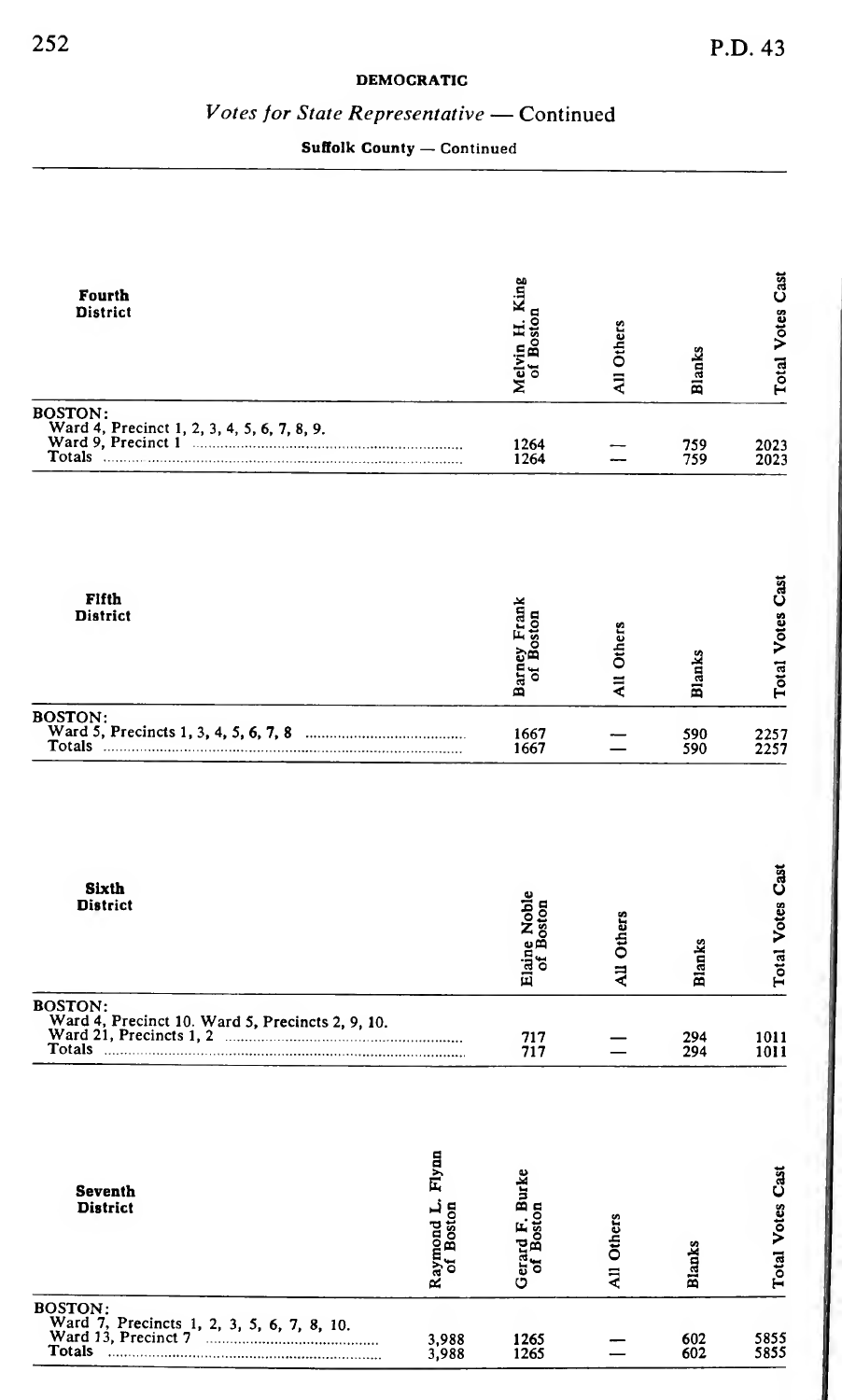# Votes for State Representative — Continued

Suffolk County — Continued

| Fourth<br>District                                                                                      |                               | Melvin H. King<br>of Boston               | All Others | Blanks        | Total Votes Cast        |
|---------------------------------------------------------------------------------------------------------|-------------------------------|-------------------------------------------|------------|---------------|-------------------------|
| BOSTON:<br>Ward 4, Precinct 1, 2, 3, 4, 5, 6, 7, 8, 9.<br>Ward 9, Precinct 1                            |                               | 1264<br>1264                              |            | 759<br>759    | 2023<br>2023            |
| Flfth<br><b>District</b>                                                                                |                               | Barney Frank<br>of Boston                 | All Others | Blanks        | <b>Total Votes Cast</b> |
|                                                                                                         |                               | 1667<br>1667                              |            | 590<br>590    | 2257<br>2257            |
| Sixth<br><b>District</b>                                                                                |                               | Elaine Noble<br>of Boston                 | All Others | <b>Blanks</b> | <b>Total Votes Cast</b> |
| <b>BOSTON:</b><br>Ward 4, Precinct 10. Ward 5, Precincts 2, 9, 10.<br>Ward 21, Precincts 1, 2<br>Totals |                               | $\begin{array}{c} 717 \\ 717 \end{array}$ |            | 294<br>294    | $\frac{1011}{1011}$     |
| <b>Seventh</b><br><b>District</b>                                                                       | Raymond L. Flynn<br>of Boston | Gerard F. Burke<br>of Boston              | All Others | <b>Blanks</b> | <b>Total Votes Cast</b> |
|                                                                                                         | 3,988<br>3,988                | 1265<br>1265                              |            | 602<br>602    | 5855<br>5855            |